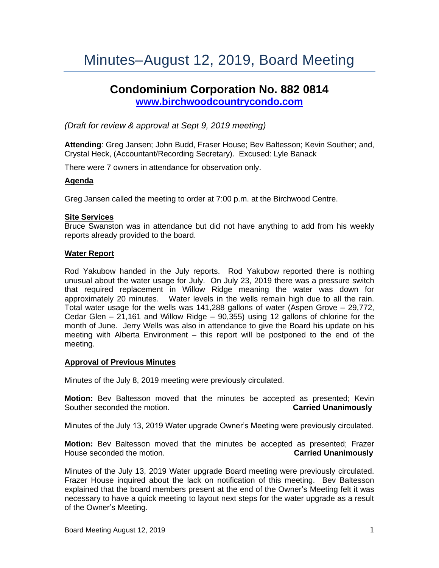# Minutes–August 12, 2019, Board Meeting

## **Condominium Corporation No. 882 0814 [www.birchwoodcountrycondo.com](http://www.birchwoodcountrycondo.com/)**

*(Draft for review & approval at Sept 9, 2019 meeting)*

**Attending**: Greg Jansen; John Budd, Fraser House; Bev Baltesson; Kevin Souther; and, Crystal Heck, (Accountant/Recording Secretary). Excused: Lyle Banack

There were 7 owners in attendance for observation only.

## **Agenda**

Greg Jansen called the meeting to order at 7:00 p.m. at the Birchwood Centre.

## **Site Services**

Bruce Swanston was in attendance but did not have anything to add from his weekly reports already provided to the board.

#### **Water Report**

Rod Yakubow handed in the July reports. Rod Yakubow reported there is nothing unusual about the water usage for July. On July 23, 2019 there was a pressure switch that required replacement in Willow Ridge meaning the water was down for approximately 20 minutes. Water levels in the wells remain high due to all the rain. Total water usage for the wells was 141,288 gallons of water (Aspen Grove – 29,772, Cedar Glen – 21,161 and Willow Ridge – 90,355) using 12 gallons of chlorine for the month of June. Jerry Wells was also in attendance to give the Board his update on his meeting with Alberta Environment – this report will be postponed to the end of the meeting.

## **Approval of Previous Minutes**

Minutes of the July 8, 2019 meeting were previously circulated.

**Motion:** Bev Baltesson moved that the minutes be accepted as presented; Kevin Souther seconded the motion. **Carried Unanimously**

Minutes of the July 13, 2019 Water upgrade Owner's Meeting were previously circulated.

**Motion:** Bev Baltesson moved that the minutes be accepted as presented; Frazer House seconded the motion. **Carried Unanimously**

Minutes of the July 13, 2019 Water upgrade Board meeting were previously circulated. Frazer House inquired about the lack on notification of this meeting. Bev Baltesson explained that the board members present at the end of the Owner's Meeting felt it was necessary to have a quick meeting to layout next steps for the water upgrade as a result of the Owner's Meeting.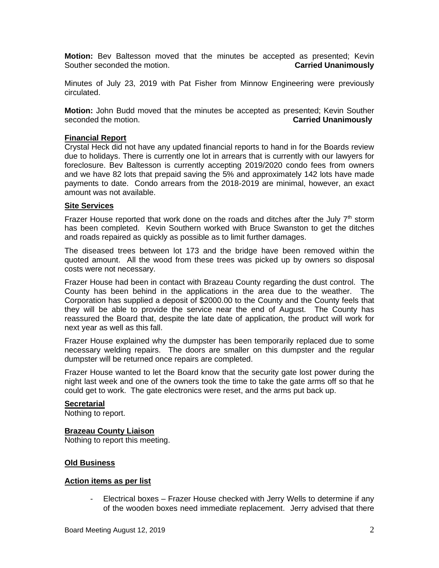**Motion:** Bev Baltesson moved that the minutes be accepted as presented; Kevin Souther seconded the motion. **Carried Unanimously**

Minutes of July 23, 2019 with Pat Fisher from Minnow Engineering were previously circulated.

**Motion:** John Budd moved that the minutes be accepted as presented; Kevin Souther seconded the motion. **Carried Unanimously**

#### **Financial Report**

Crystal Heck did not have any updated financial reports to hand in for the Boards review due to holidays. There is currently one lot in arrears that is currently with our lawyers for foreclosure. Bev Baltesson is currently accepting 2019/2020 condo fees from owners and we have 82 lots that prepaid saving the 5% and approximately 142 lots have made payments to date. Condo arrears from the 2018-2019 are minimal, however, an exact amount was not available.

#### **Site Services**

Frazer House reported that work done on the roads and ditches after the July  $7<sup>th</sup>$  storm has been completed. Kevin Southern worked with Bruce Swanston to get the ditches and roads repaired as quickly as possible as to limit further damages.

The diseased trees between lot 173 and the bridge have been removed within the quoted amount. All the wood from these trees was picked up by owners so disposal costs were not necessary.

Frazer House had been in contact with Brazeau County regarding the dust control. The County has been behind in the applications in the area due to the weather. The Corporation has supplied a deposit of \$2000.00 to the County and the County feels that they will be able to provide the service near the end of August. The County has reassured the Board that, despite the late date of application, the product will work for next year as well as this fall.

Frazer House explained why the dumpster has been temporarily replaced due to some necessary welding repairs. The doors are smaller on this dumpster and the regular dumpster will be returned once repairs are completed.

Frazer House wanted to let the Board know that the security gate lost power during the night last week and one of the owners took the time to take the gate arms off so that he could get to work. The gate electronics were reset, and the arms put back up.

#### **Secretarial**

Nothing to report.

#### **Brazeau County Liaison**

Nothing to report this meeting.

## **Old Business**

#### **Action items as per list**

- Electrical boxes – Frazer House checked with Jerry Wells to determine if any of the wooden boxes need immediate replacement. Jerry advised that there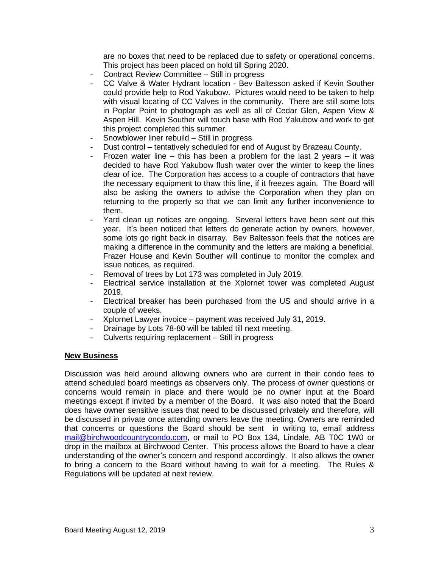are no boxes that need to be replaced due to safety or operational concerns. This project has been placed on hold till Spring 2020.

- Contract Review Committee Still in progress
- CC Valve & Water Hydrant location Bev Baltesson asked if Kevin Souther could provide help to Rod Yakubow. Pictures would need to be taken to help with visual locating of CC Valves in the community. There are still some lots in Poplar Point to photograph as well as all of Cedar Glen, Aspen View & Aspen Hill. Kevin Souther will touch base with Rod Yakubow and work to get this project completed this summer.
- Snowblower liner rebuild Still in progress
- Dust control tentatively scheduled for end of August by Brazeau County.
- Frozen water line this has been a problem for the last 2 years it was decided to have Rod Yakubow flush water over the winter to keep the lines clear of ice. The Corporation has access to a couple of contractors that have the necessary equipment to thaw this line, if it freezes again. The Board will also be asking the owners to advise the Corporation when they plan on returning to the property so that we can limit any further inconvenience to them.
- Yard clean up notices are ongoing. Several letters have been sent out this year. It's been noticed that letters do generate action by owners, however, some lots go right back in disarray. Bev Baltesson feels that the notices are making a difference in the community and the letters are making a beneficial. Frazer House and Kevin Souther will continue to monitor the complex and issue notices, as required.
- Removal of trees by Lot 173 was completed in July 2019.
- Electrical service installation at the Xplornet tower was completed August 2019.
- Electrical breaker has been purchased from the US and should arrive in a couple of weeks.
- Xplornet Lawyer invoice payment was received July 31, 2019.
- Drainage by Lots 78-80 will be tabled till next meeting.
- Culverts requiring replacement Still in progress

## **New Business**

Discussion was held around allowing owners who are current in their condo fees to attend scheduled board meetings as observers only. The process of owner questions or concerns would remain in place and there would be no owner input at the Board meetings except if invited by a member of the Board. It was also noted that the Board does have owner sensitive issues that need to be discussed privately and therefore, will be discussed in private once attending owners leave the meeting. Owners are reminded that concerns or questions the Board should be sent in writing to, email address [mail@birchwoodcountrycondo.com,](mailto:mail@birchwoodcountrycondo.com) or mail to PO Box 134, Lindale, AB T0C 1W0 or drop in the mailbox at Birchwood Center. This process allows the Board to have a clear understanding of the owner's concern and respond accordingly. It also allows the owner to bring a concern to the Board without having to wait for a meeting. The Rules & Regulations will be updated at next review.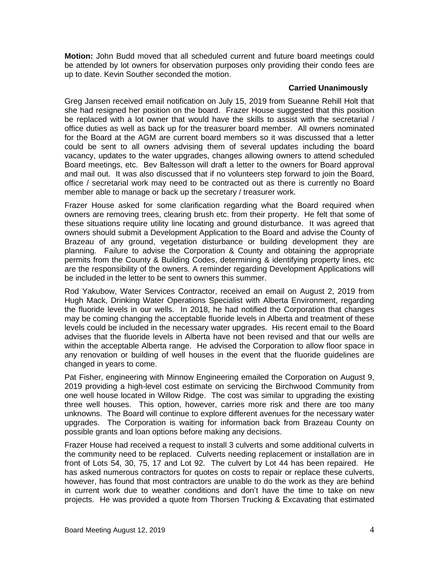**Motion:** John Budd moved that all scheduled current and future board meetings could be attended by lot owners for observation purposes only providing their condo fees are up to date. Kevin Souther seconded the motion.

## **Carried Unanimously**

Greg Jansen received email notification on July 15, 2019 from Sueanne Rehill Holt that she had resigned her position on the board. Frazer House suggested that this position be replaced with a lot owner that would have the skills to assist with the secretarial / office duties as well as back up for the treasurer board member. All owners nominated for the Board at the AGM are current board members so it was discussed that a letter could be sent to all owners advising them of several updates including the board vacancy, updates to the water upgrades, changes allowing owners to attend scheduled Board meetings, etc. Bev Baltesson will draft a letter to the owners for Board approval and mail out. It was also discussed that if no volunteers step forward to join the Board, office / secretarial work may need to be contracted out as there is currently no Board member able to manage or back up the secretary / treasurer work.

Frazer House asked for some clarification regarding what the Board required when owners are removing trees, clearing brush etc. from their property. He felt that some of these situations require utility line locating and ground disturbance. It was agreed that owners should submit a Development Application to the Board and advise the County of Brazeau of any ground, vegetation disturbance or building development they are planning. Failure to advise the Corporation & County and obtaining the appropriate permits from the County & Building Codes, determining & identifying property lines, etc are the responsibility of the owners. A reminder regarding Development Applications will be included in the letter to be sent to owners this summer.

Rod Yakubow, Water Services Contractor, received an email on August 2, 2019 from Hugh Mack, Drinking Water Operations Specialist with Alberta Environment, regarding the fluoride levels in our wells. In 2018, he had notified the Corporation that changes may be coming changing the acceptable fluoride levels in Alberta and treatment of these levels could be included in the necessary water upgrades. His recent email to the Board advises that the fluoride levels in Alberta have not been revised and that our wells are within the acceptable Alberta range. He advised the Corporation to allow floor space in any renovation or building of well houses in the event that the fluoride guidelines are changed in years to come.

Pat Fisher, engineering with Minnow Engineering emailed the Corporation on August 9, 2019 providing a high-level cost estimate on servicing the Birchwood Community from one well house located in Willow Ridge. The cost was similar to upgrading the existing three well houses. This option, however, carries more risk and there are too many unknowns. The Board will continue to explore different avenues for the necessary water upgrades. The Corporation is waiting for information back from Brazeau County on possible grants and loan options before making any decisions.

Frazer House had received a request to install 3 culverts and some additional culverts in the community need to be replaced. Culverts needing replacement or installation are in front of Lots 54, 30, 75, 17 and Lot 92. The culvert by Lot 44 has been repaired. He has asked numerous contractors for quotes on costs to repair or replace these culverts, however, has found that most contractors are unable to do the work as they are behind in current work due to weather conditions and don't have the time to take on new projects. He was provided a quote from Thorsen Trucking & Excavating that estimated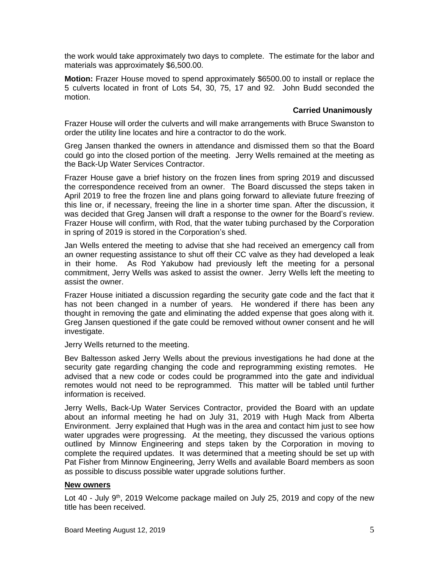the work would take approximately two days to complete. The estimate for the labor and materials was approximately \$6,500.00.

**Motion:** Frazer House moved to spend approximately \$6500.00 to install or replace the 5 culverts located in front of Lots 54, 30, 75, 17 and 92. John Budd seconded the motion.

## **Carried Unanimously**

Frazer House will order the culverts and will make arrangements with Bruce Swanston to order the utility line locates and hire a contractor to do the work.

Greg Jansen thanked the owners in attendance and dismissed them so that the Board could go into the closed portion of the meeting. Jerry Wells remained at the meeting as the Back-Up Water Services Contractor.

Frazer House gave a brief history on the frozen lines from spring 2019 and discussed the correspondence received from an owner. The Board discussed the steps taken in April 2019 to free the frozen line and plans going forward to alleviate future freezing of this line or, if necessary, freeing the line in a shorter time span. After the discussion, it was decided that Greg Jansen will draft a response to the owner for the Board's review. Frazer House will confirm, with Rod, that the water tubing purchased by the Corporation in spring of 2019 is stored in the Corporation's shed.

Jan Wells entered the meeting to advise that she had received an emergency call from an owner requesting assistance to shut off their CC valve as they had developed a leak in their home. As Rod Yakubow had previously left the meeting for a personal commitment, Jerry Wells was asked to assist the owner. Jerry Wells left the meeting to assist the owner.

Frazer House initiated a discussion regarding the security gate code and the fact that it has not been changed in a number of years. He wondered if there has been any thought in removing the gate and eliminating the added expense that goes along with it. Greg Jansen questioned if the gate could be removed without owner consent and he will investigate.

Jerry Wells returned to the meeting.

Bev Baltesson asked Jerry Wells about the previous investigations he had done at the security gate regarding changing the code and reprogramming existing remotes. He advised that a new code or codes could be programmed into the gate and individual remotes would not need to be reprogrammed. This matter will be tabled until further information is received.

Jerry Wells, Back-Up Water Services Contractor, provided the Board with an update about an informal meeting he had on July 31, 2019 with Hugh Mack from Alberta Environment. Jerry explained that Hugh was in the area and contact him just to see how water upgrades were progressing. At the meeting, they discussed the various options outlined by Minnow Engineering and steps taken by the Corporation in moving to complete the required updates. It was determined that a meeting should be set up with Pat Fisher from Minnow Engineering, Jerry Wells and available Board members as soon as possible to discuss possible water upgrade solutions further.

## **New owners**

Lot 40 - July  $9<sup>th</sup>$ , 2019 Welcome package mailed on July 25, 2019 and copy of the new title has been received.